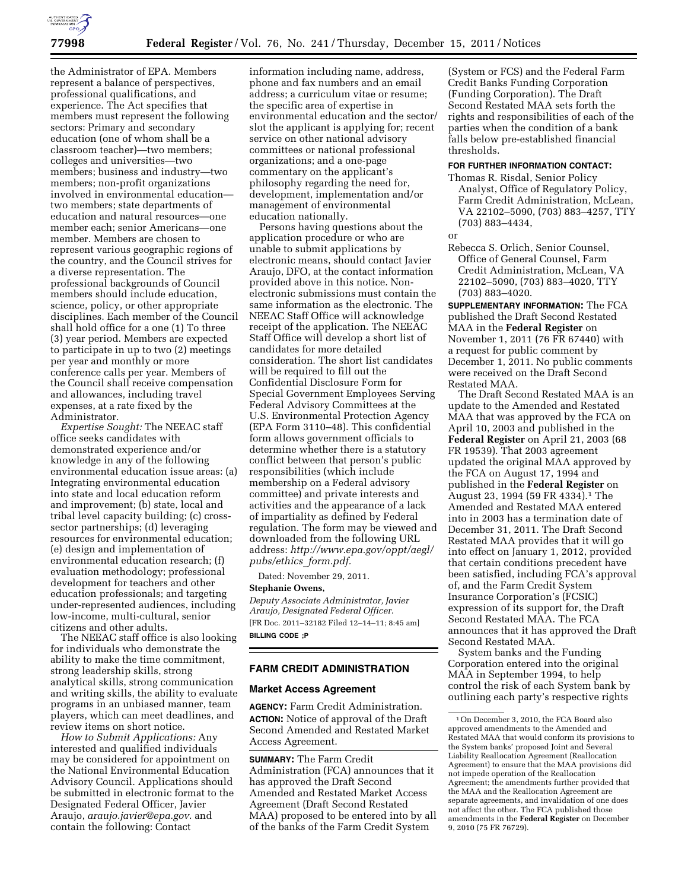

the Administrator of EPA. Members represent a balance of perspectives, professional qualifications, and experience. The Act specifies that members must represent the following sectors: Primary and secondary education (one of whom shall be a classroom teacher)—two members; colleges and universities—two members; business and industry—two members; non-profit organizations involved in environmental education two members; state departments of education and natural resources—one member each; senior Americans—one member. Members are chosen to represent various geographic regions of the country, and the Council strives for a diverse representation. The professional backgrounds of Council members should include education, science, policy, or other appropriate disciplines. Each member of the Council shall hold office for a one (1) To three (3) year period. Members are expected to participate in up to two (2) meetings per year and monthly or more conference calls per year. Members of the Council shall receive compensation and allowances, including travel expenses, at a rate fixed by the Administrator.

*Expertise Sought:* The NEEAC staff office seeks candidates with demonstrated experience and/or knowledge in any of the following environmental education issue areas: (a) Integrating environmental education into state and local education reform and improvement; (b) state, local and tribal level capacity building; (c) crosssector partnerships; (d) leveraging resources for environmental education; (e) design and implementation of environmental education research; (f) evaluation methodology; professional development for teachers and other education professionals; and targeting under-represented audiences, including low-income, multi-cultural, senior citizens and other adults.

The NEEAC staff office is also looking for individuals who demonstrate the ability to make the time commitment, strong leadership skills, strong analytical skills, strong communication and writing skills, the ability to evaluate programs in an unbiased manner, team players, which can meet deadlines, and review items on short notice.

*How to Submit Applications:* Any interested and qualified individuals may be considered for appointment on the National Environmental Education Advisory Council. Applications should be submitted in electronic format to the Designated Federal Officer, Javier Araujo, *[araujo.javier@epa.gov.](mailto:araujo.javier@epa.gov)* and contain the following: Contact

information including name, address, phone and fax numbers and an email address; a curriculum vitae or resume; the specific area of expertise in environmental education and the sector/ slot the applicant is applying for; recent service on other national advisory committees or national professional organizations; and a one-page commentary on the applicant's philosophy regarding the need for, development, implementation and/or management of environmental education nationally.

Persons having questions about the application procedure or who are unable to submit applications by electronic means, should contact Javier Araujo, DFO, at the contact information provided above in this notice. Nonelectronic submissions must contain the same information as the electronic. The NEEAC Staff Office will acknowledge receipt of the application. The NEEAC Staff Office will develop a short list of candidates for more detailed consideration. The short list candidates will be required to fill out the Confidential Disclosure Form for Special Government Employees Serving Federal Advisory Committees at the U.S. Environmental Protection Agency (EPA Form 3110–48). This confidential form allows government officials to determine whether there is a statutory conflict between that person's public responsibilities (which include membership on a Federal advisory committee) and private interests and activities and the appearance of a lack of impartiality as defined by Federal regulation. The form may be viewed and downloaded from the following URL address: *[http://www.epa.gov/oppt/aegl/](http://www.epa.gov/oppt/aegl/pubs/ethics_form.pdf)  [pubs/ethics](http://www.epa.gov/oppt/aegl/pubs/ethics_form.pdf)*\_*form.pdf.* 

Dated: November 29, 2011.

# **Stephanie Owens,**

*Deputy Associate Administrator, Javier Araujo, Designated Federal Officer.*  [FR Doc. 2011–32182 Filed 12–14–11; 8:45 am] **BILLING CODE ;P** 

# **FARM CREDIT ADMINISTRATION**

# **Market Access Agreement**

**AGENCY:** Farm Credit Administration. **ACTION:** Notice of approval of the Draft Second Amended and Restated Market Access Agreement.

**SUMMARY:** The Farm Credit Administration (FCA) announces that it has approved the Draft Second Amended and Restated Market Access Agreement (Draft Second Restated MAA) proposed to be entered into by all of the banks of the Farm Credit System

(System or FCS) and the Federal Farm Credit Banks Funding Corporation (Funding Corporation). The Draft Second Restated MAA sets forth the rights and responsibilities of each of the parties when the condition of a bank falls below pre-established financial thresholds.

### **FOR FURTHER INFORMATION CONTACT:**

- Thomas R. Risdal, Senior Policy Analyst, Office of Regulatory Policy, Farm Credit Administration, McLean, VA 22102–5090, (703) 883–4257, TTY (703) 883–4434,
- or
- Rebecca S. Orlich, Senior Counsel, Office of General Counsel, Farm Credit Administration, McLean, VA 22102–5090, (703) 883–4020, TTY (703) 883–4020.

**SUPPLEMENTARY INFORMATION:** The FCA published the Draft Second Restated MAA in the **Federal Register** on November 1, 2011 (76 FR 67440) with a request for public comment by December 1, 2011. No public comments were received on the Draft Second Restated MAA.

The Draft Second Restated MAA is an update to the Amended and Restated MAA that was approved by the FCA on April 10, 2003 and published in the **Federal Register** on April 21, 2003 (68 FR 19539). That 2003 agreement updated the original MAA approved by the FCA on August 17, 1994 and published in the **Federal Register** on August 23, 1994 (59 FR 4334).1 The Amended and Restated MAA entered into in 2003 has a termination date of December 31, 2011. The Draft Second Restated MAA provides that it will go into effect on January 1, 2012, provided that certain conditions precedent have been satisfied, including FCA's approval of, and the Farm Credit System Insurance Corporation's (FCSIC) expression of its support for, the Draft Second Restated MAA. The FCA announces that it has approved the Draft Second Restated MAA.

System banks and the Funding Corporation entered into the original MAA in September 1994, to help control the risk of each System bank by outlining each party's respective rights

<sup>1</sup>On December 3, 2010, the FCA Board also approved amendments to the Amended and Restated MAA that would conform its provisions to the System banks' proposed Joint and Several Liability Reallocation Agreement (Reallocation Agreement) to ensure that the MAA provisions did not impede operation of the Reallocation Agreement; the amendments further provided that the MAA and the Reallocation Agreement are separate agreements, and invalidation of one does not affect the other. The FCA published those amendments in the **Federal Register** on December 9, 2010 (75 FR 76729).